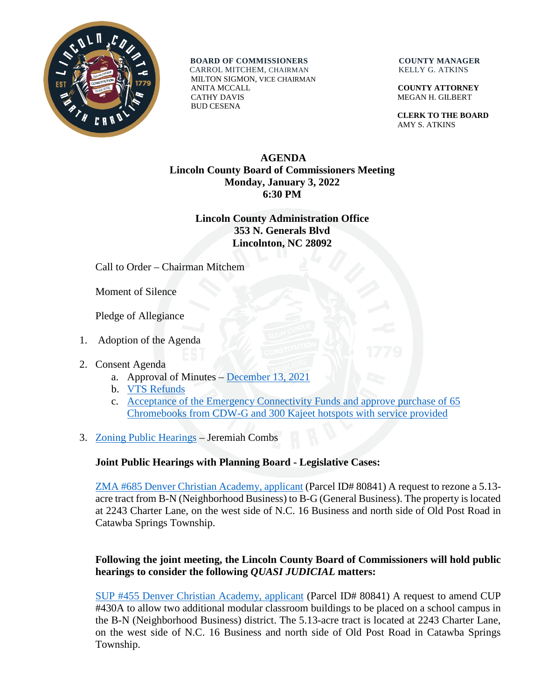

**BOARD OF COMMISSIONERS COUNTY MANAGER** CARROL MITCHEM, CHAIRMAN KELLY G. ATKINS

 MILTON SIGMON, VICE CHAIRMAN ANITA MCCALL **COUNTY ATTORNEY** CATHY DAVIS MEGAN H. GILBERT BUD CESENA

 **CLERK TO THE BOARD** AMY S. ATKINS

## **AGENDA Lincoln County Board of Commissioners Meeting Monday, January 3, 2022 6:30 PM**

## **Lincoln County Administration Office 353 N. Generals Blvd Lincolnton, NC 28092**

Call to Order – Chairman Mitchem

Moment of Silence

Pledge of Allegiance

- 1. Adoption of the Agenda
- 2. Consent Agenda
	- a. Approval of Minutes [December 13, 2021](https://www.lincolncounty.org/DocumentCenter/View/18364/121321)
	- b. [VTS Refunds](https://www.lincolncounty.org/DocumentCenter/View/18345/010322Item2b)
	- c. [Acceptance of the Emergency Connectivity Funds and approve purchase of 65](https://www.lincolncounty.org/DocumentCenter/View/18346/010322Item2c)  [Chromebooks from CDW-G and 300 Kajeet hotspots with service provided](https://www.lincolncounty.org/DocumentCenter/View/18346/010322Item2c)
- 3. [Zoning Public Hearings](https://www.lincolncounty.org/DocumentCenter/View/18347/010322Item3) Jeremiah Combs

## **Joint Public Hearings with Planning Board - Legislative Cases:**

[ZMA #685 Denver Christian Academy, applicant](https://www.lincolncounty.org/DocumentCenter/View/18348/010322Item3a) (Parcel ID# 80841) A request to rezone a 5.13 acre tract from B-N (Neighborhood Business) to B-G (General Business). The property is located at 2243 Charter Lane, on the west side of N.C. 16 Business and north side of Old Post Road in Catawba Springs Township.

## **Following the joint meeting, the Lincoln County Board of Commissioners will hold public hearings to consider the following** *QUASI JUDICIAL* **matters:**

SUP #455 Denver [Christian Academy, applicant](https://www.lincolncounty.org/DocumentCenter/View/18349/010322Item3b) (Parcel ID# 80841) A request to amend CUP #430A to allow two additional modular classroom buildings to be placed on a school campus in the B-N (Neighborhood Business) district. The 5.13-acre tract is located at 2243 Charter Lane, on the west side of N.C. 16 Business and north side of Old Post Road in Catawba Springs Township.